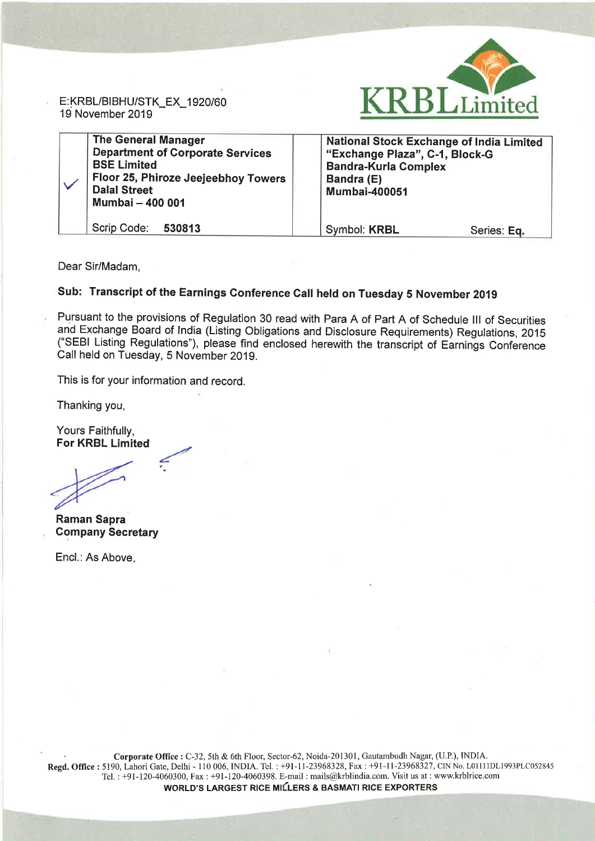

E:KRBL/BIBHU/STK\_EX\_1920/60 19 November 2019

| <b>The General Manager</b><br><b>Department of Corporate Services</b><br><b>BSE Limited</b><br>Floor 25, Phiroze Jeejeebhoy Towers<br><b>Dalal Street</b><br><b>Mumbai - 400 001</b> | <b>National Stock Exchange of India Limited</b><br>"Exchange Plaza", C-1, Block-G<br><b>Bandra-Kurla Complex</b><br>Bandra (E)<br><b>Mumbai-400051</b> |
|--------------------------------------------------------------------------------------------------------------------------------------------------------------------------------------|--------------------------------------------------------------------------------------------------------------------------------------------------------|
| Scrip Code:<br>530813                                                                                                                                                                | Symbol: KRBL<br>Series: Eq.                                                                                                                            |

Dear Sir/Madam,

## Sub: Transcript of the Earnings Conference Call held on Tuesday 5 November 2019

Pursuant to the provisions of Regulation 30 read with Para A of Part A of Schedule III of Securities and Exchange Board of India (Listing Obligations and Disclosure Requirements) Regulations, 2015 ("SEBI Listing Regulations"), please find enclosed herewith the transcript of Earnings Conference Call held on Tuesday, 5 November 2019.

This is for your information and record.

Thanking you,

Yours Faithfully, **For KRBL Limited** 

**Raman Sapra Company Secretary** 

Encl.: As Above.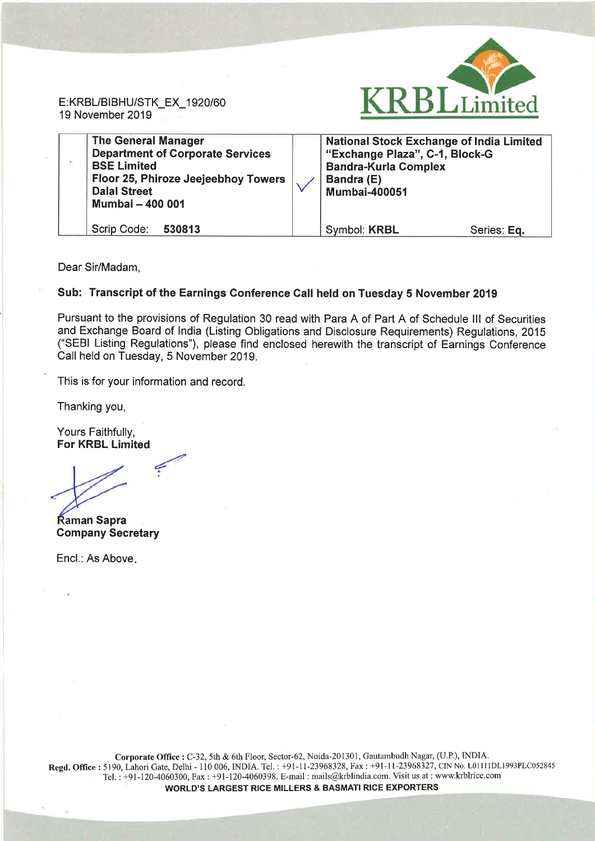

Dear Sir/Madam,

## Sub: Transcript of the Earnings Conference Call held on Tuesday 5 November 2019

Pursuant to the provisions of Regulation 30 read with Para A of Part A of Schedule III of Securities and Exchange Board of India (Listing Obligations and Disclosure Requirements) Regulations, 2015 ("SEBI Listing Regulations"), please find enclosed herewith the transcript of Earnings Conference Call held on Tuesday, 5 November 2019.

This is for your information and record.

Thanking you,

Yours Faithfully, **For KRBL Limited** 

**Raman Sapra Company Secretary** 

Encl.: As Above.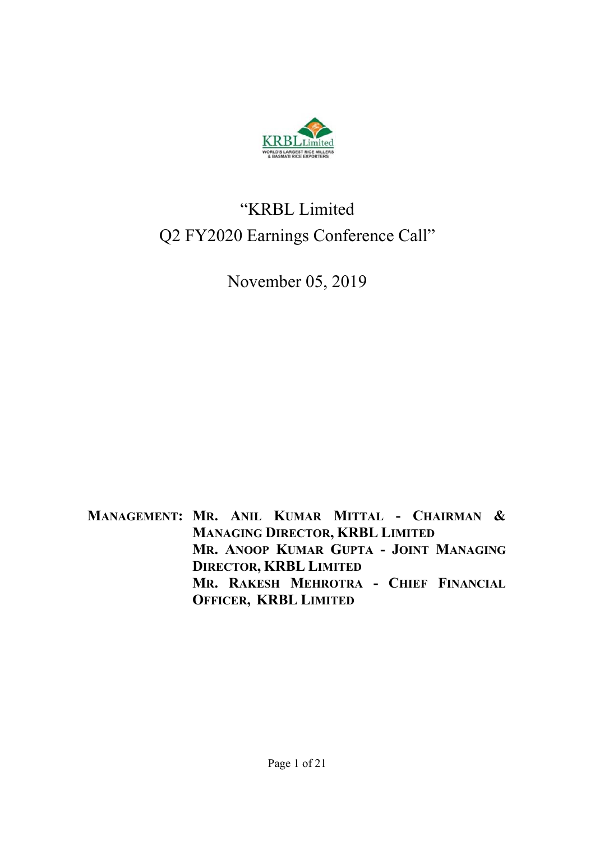

## "KRBL Limited Q2 FY2020 Earnings Conference Call"

November 05, 2019

**MANAGEMENT: MR. ANIL KUMAR MITTAL - CHAIRMAN & MANAGING DIRECTOR, KRBL LIMITED MR. ANOOP KUMAR GUPTA - JOINT MANAGING DIRECTOR, KRBL LIMITED MR. RAKESH MEHROTRA - CHIEF FINANCIAL OFFICER, KRBL LIMITED**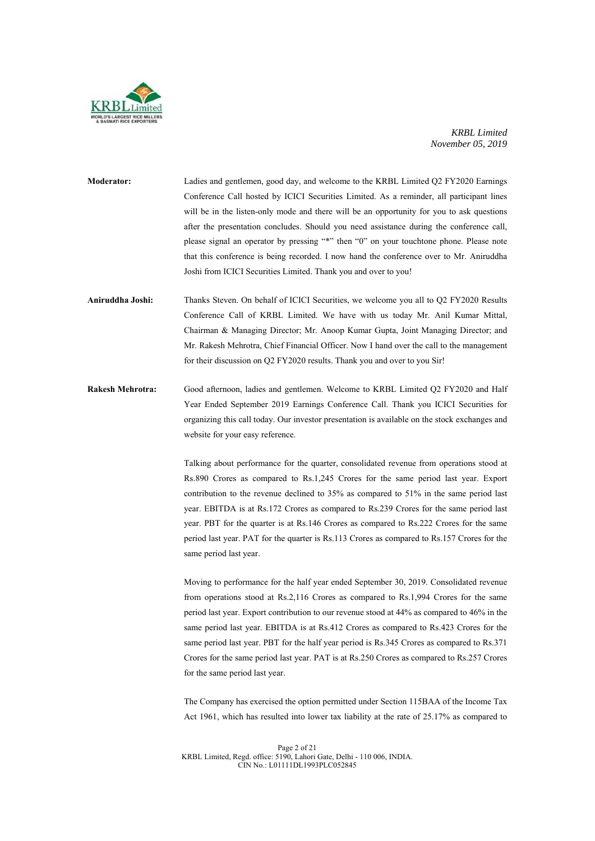

**Moderator:** Ladies and gentlemen, good day, and welcome to the KRBL Limited Q2 FY2020 Earnings Conference Call hosted by ICICI Securities Limited. As a reminder, all participant lines will be in the listen-only mode and there will be an opportunity for you to ask questions after the presentation concludes. Should you need assistance during the conference call, please signal an operator by pressing "\*" then "0" on your touchtone phone. Please note that this conference is being recorded. I now hand the conference over to Mr. Aniruddha Joshi from ICICI Securities Limited. Thank you and over to you!

**Aniruddha Joshi:** Thanks Steven. On behalf of ICICI Securities, we welcome you all to Q2 FY2020 Results Conference Call of KRBL Limited. We have with us today Mr. Anil Kumar Mittal, Chairman & Managing Director; Mr. Anoop Kumar Gupta, Joint Managing Director; and Mr. Rakesh Mehrotra, Chief Financial Officer. Now I hand over the call to the management for their discussion on Q2 FY2020 results. Thank you and over to you Sir!

**Rakesh Mehrotra:** Good afternoon, ladies and gentlemen. Welcome to KRBL Limited Q2 FY2020 and Half Year Ended September 2019 Earnings Conference Call. Thank you ICICI Securities for organizing this call today. Our investor presentation is available on the stock exchanges and website for your easy reference.

> Talking about performance for the quarter, consolidated revenue from operations stood at Rs.890 Crores as compared to Rs.1,245 Crores for the same period last year. Export contribution to the revenue declined to 35% as compared to 51% in the same period last year. EBITDA is at Rs.172 Crores as compared to Rs.239 Crores for the same period last year. PBT for the quarter is at Rs.146 Crores as compared to Rs.222 Crores for the same period last year. PAT for the quarter is Rs.113 Crores as compared to Rs.157 Crores for the same period last year.

> Moving to performance for the half year ended September 30, 2019. Consolidated revenue from operations stood at Rs.2,116 Crores as compared to Rs.1,994 Crores for the same period last year. Export contribution to our revenue stood at 44% as compared to 46% in the same period last year. EBITDA is at Rs.412 Crores as compared to Rs.423 Crores for the same period last year. PBT for the half year period is Rs.345 Crores as compared to Rs.371 Crores for the same period last year. PAT is at Rs.250 Crores as compared to Rs.257 Crores for the same period last year.

> The Company has exercised the option permitted under Section 115BAA of the Income Tax Act 1961, which has resulted into lower tax liability at the rate of 25.17% as compared to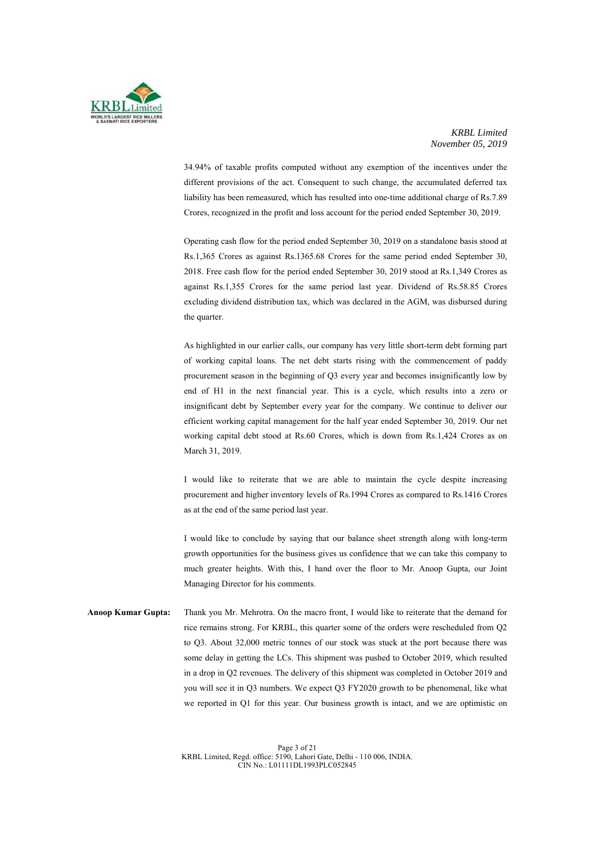

34.94% of taxable profits computed without any exemption of the incentives under the different provisions of the act. Consequent to such change, the accumulated deferred tax liability has been remeasured, which has resulted into one-time additional charge of Rs.7.89 Crores, recognized in the profit and loss account for the period ended September 30, 2019.

 Operating cash flow for the period ended September 30, 2019 on a standalone basis stood at Rs.1,365 Crores as against Rs.1365.68 Crores for the same period ended September 30, 2018. Free cash flow for the period ended September 30, 2019 stood at Rs.1,349 Crores as against Rs.1,355 Crores for the same period last year. Dividend of Rs.58.85 Crores excluding dividend distribution tax, which was declared in the AGM, was disbursed during the quarter.

 As highlighted in our earlier calls, our company has very little short-term debt forming part of working capital loans. The net debt starts rising with the commencement of paddy procurement season in the beginning of Q3 every year and becomes insignificantly low by end of H1 in the next financial year. This is a cycle, which results into a zero or insignificant debt by September every year for the company. We continue to deliver our efficient working capital management for the half year ended September 30, 2019. Our net working capital debt stood at Rs.60 Crores, which is down from Rs.1,424 Crores as on March 31, 2019.

 I would like to reiterate that we are able to maintain the cycle despite increasing procurement and higher inventory levels of Rs.1994 Crores as compared to Rs.1416 Crores as at the end of the same period last year.

 I would like to conclude by saying that our balance sheet strength along with long-term growth opportunities for the business gives us confidence that we can take this company to much greater heights. With this, I hand over the floor to Mr. Anoop Gupta, our Joint Managing Director for his comments.

**Anoop Kumar Gupta:** Thank you Mr. Mehrotra. On the macro front, I would like to reiterate that the demand for rice remains strong. For KRBL, this quarter some of the orders were rescheduled from Q2 to Q3. About 32,000 metric tonnes of our stock was stuck at the port because there was some delay in getting the LCs. This shipment was pushed to October 2019, which resulted in a drop in Q2 revenues. The delivery of this shipment was completed in October 2019 and you will see it in Q3 numbers. We expect Q3 FY2020 growth to be phenomenal, like what we reported in Q1 for this year. Our business growth is intact, and we are optimistic on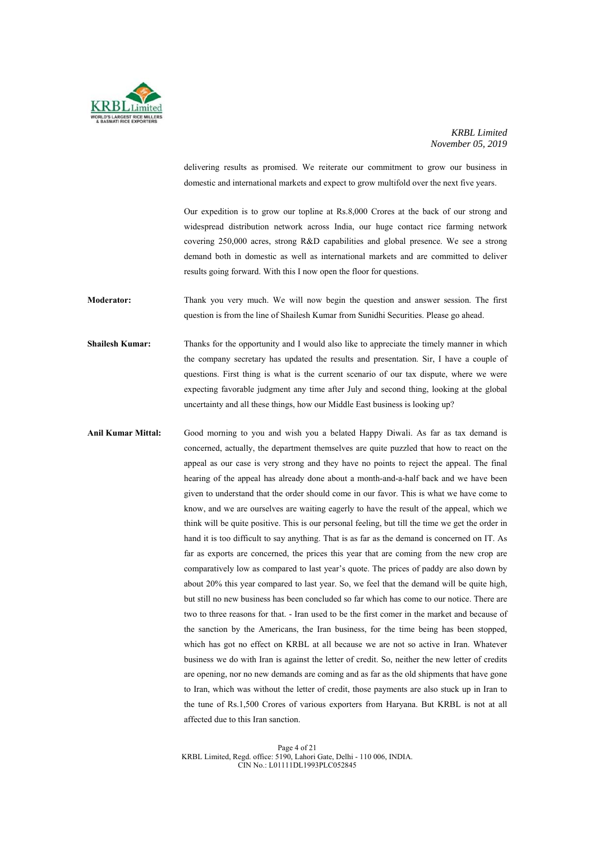

delivering results as promised. We reiterate our commitment to grow our business in domestic and international markets and expect to grow multifold over the next five years.

 Our expedition is to grow our topline at Rs.8,000 Crores at the back of our strong and widespread distribution network across India, our huge contact rice farming network covering 250,000 acres, strong R&D capabilities and global presence. We see a strong demand both in domestic as well as international markets and are committed to deliver results going forward. With this I now open the floor for questions.

**Moderator:** Thank you very much. We will now begin the question and answer session. The first question is from the line of Shailesh Kumar from Sunidhi Securities. Please go ahead.

**Shailesh Kumar:** Thanks for the opportunity and I would also like to appreciate the timely manner in which the company secretary has updated the results and presentation. Sir, I have a couple of questions. First thing is what is the current scenario of our tax dispute, where we were expecting favorable judgment any time after July and second thing, looking at the global uncertainty and all these things, how our Middle East business is looking up?

**Anil Kumar Mittal:** Good morning to you and wish you a belated Happy Diwali. As far as tax demand is concerned, actually, the department themselves are quite puzzled that how to react on the appeal as our case is very strong and they have no points to reject the appeal. The final hearing of the appeal has already done about a month-and-a-half back and we have been given to understand that the order should come in our favor. This is what we have come to know, and we are ourselves are waiting eagerly to have the result of the appeal, which we think will be quite positive. This is our personal feeling, but till the time we get the order in hand it is too difficult to say anything. That is as far as the demand is concerned on IT. As far as exports are concerned, the prices this year that are coming from the new crop are comparatively low as compared to last year's quote. The prices of paddy are also down by about 20% this year compared to last year. So, we feel that the demand will be quite high, but still no new business has been concluded so far which has come to our notice. There are two to three reasons for that. - Iran used to be the first comer in the market and because of the sanction by the Americans, the Iran business, for the time being has been stopped, which has got no effect on KRBL at all because we are not so active in Iran. Whatever business we do with Iran is against the letter of credit. So, neither the new letter of credits are opening, nor no new demands are coming and as far as the old shipments that have gone to Iran, which was without the letter of credit, those payments are also stuck up in Iran to the tune of Rs.1,500 Crores of various exporters from Haryana. But KRBL is not at all affected due to this Iran sanction.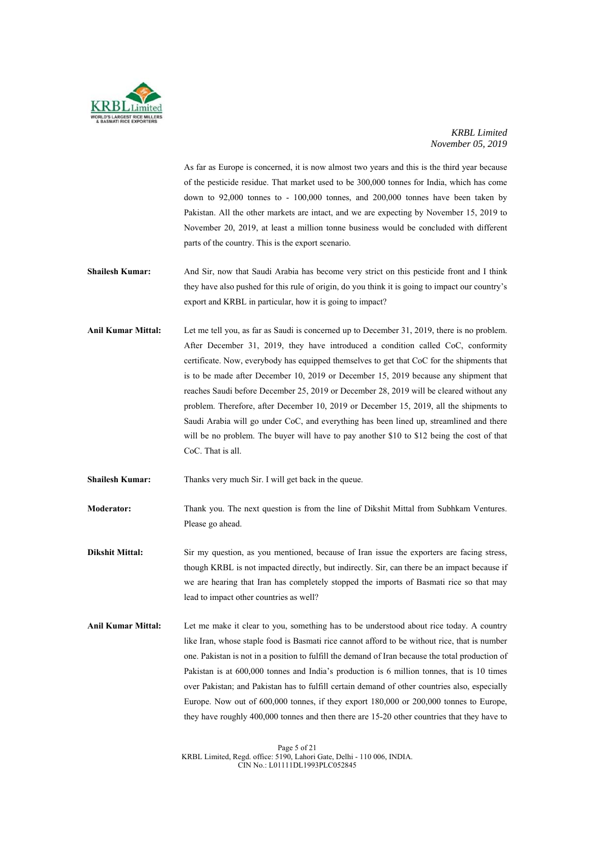

 As far as Europe is concerned, it is now almost two years and this is the third year because of the pesticide residue. That market used to be 300,000 tonnes for India, which has come down to 92,000 tonnes to - 100,000 tonnes, and 200,000 tonnes have been taken by Pakistan. All the other markets are intact, and we are expecting by November 15, 2019 to November 20, 2019, at least a million tonne business would be concluded with different parts of the country. This is the export scenario.

- **Shailesh Kumar:** And Sir, now that Saudi Arabia has become very strict on this pesticide front and I think they have also pushed for this rule of origin, do you think it is going to impact our country's export and KRBL in particular, how it is going to impact?
- **Anil Kumar Mittal:** Let me tell you, as far as Saudi is concerned up to December 31, 2019, there is no problem. After December 31, 2019, they have introduced a condition called CoC, conformity certificate. Now, everybody has equipped themselves to get that CoC for the shipments that is to be made after December 10, 2019 or December 15, 2019 because any shipment that reaches Saudi before December 25, 2019 or December 28, 2019 will be cleared without any problem. Therefore, after December 10, 2019 or December 15, 2019, all the shipments to Saudi Arabia will go under CoC, and everything has been lined up, streamlined and there will be no problem. The buyer will have to pay another \$10 to \$12 being the cost of that CoC. That is all.

**Shailesh Kumar:** Thanks very much Sir. I will get back in the queue.

**Moderator:** Thank you. The next question is from the line of Dikshit Mittal from Subhkam Ventures. Please go ahead.

**Dikshit Mittal:** Sir my question, as you mentioned, because of Iran issue the exporters are facing stress, though KRBL is not impacted directly, but indirectly. Sir, can there be an impact because if we are hearing that Iran has completely stopped the imports of Basmati rice so that may lead to impact other countries as well?

**Anil Kumar Mittal:** Let me make it clear to you, something has to be understood about rice today. A country like Iran, whose staple food is Basmati rice cannot afford to be without rice, that is number one. Pakistan is not in a position to fulfill the demand of Iran because the total production of Pakistan is at 600,000 tonnes and India's production is 6 million tonnes, that is 10 times over Pakistan; and Pakistan has to fulfill certain demand of other countries also, especially Europe. Now out of 600,000 tonnes, if they export 180,000 or 200,000 tonnes to Europe, they have roughly 400,000 tonnes and then there are 15-20 other countries that they have to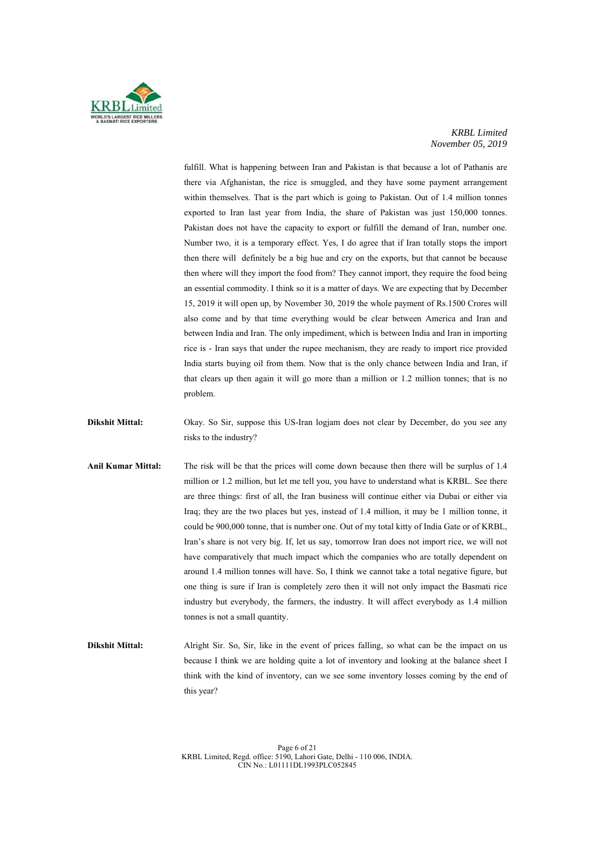

fulfill. What is happening between Iran and Pakistan is that because a lot of Pathanis are there via Afghanistan, the rice is smuggled, and they have some payment arrangement within themselves. That is the part which is going to Pakistan. Out of 1.4 million tonnes exported to Iran last year from India, the share of Pakistan was just 150,000 tonnes. Pakistan does not have the capacity to export or fulfill the demand of Iran, number one. Number two, it is a temporary effect. Yes, I do agree that if Iran totally stops the import then there will definitely be a big hue and cry on the exports, but that cannot be because then where will they import the food from? They cannot import, they require the food being an essential commodity. I think so it is a matter of days. We are expecting that by December 15, 2019 it will open up, by November 30, 2019 the whole payment of Rs.1500 Crores will also come and by that time everything would be clear between America and Iran and between India and Iran. The only impediment, which is between India and Iran in importing rice is - Iran says that under the rupee mechanism, they are ready to import rice provided India starts buying oil from them. Now that is the only chance between India and Iran, if that clears up then again it will go more than a million or 1.2 million tonnes; that is no problem.

**Dikshit Mittal:** Okay. So Sir, suppose this US-Iran logjam does not clear by December, do you see any risks to the industry?

- **Anil Kumar Mittal:** The risk will be that the prices will come down because then there will be surplus of 1.4 million or 1.2 million, but let me tell you, you have to understand what is KRBL. See there are three things: first of all, the Iran business will continue either via Dubai or either via Iraq; they are the two places but yes, instead of 1.4 million, it may be 1 million tonne, it could be 900,000 tonne, that is number one. Out of my total kitty of India Gate or of KRBL, Iran's share is not very big. If, let us say, tomorrow Iran does not import rice, we will not have comparatively that much impact which the companies who are totally dependent on around 1.4 million tonnes will have. So, I think we cannot take a total negative figure, but one thing is sure if Iran is completely zero then it will not only impact the Basmati rice industry but everybody, the farmers, the industry. It will affect everybody as 1.4 million tonnes is not a small quantity.
- **Dikshit Mittal:** Alright Sir. So, Sir, like in the event of prices falling, so what can be the impact on us because I think we are holding quite a lot of inventory and looking at the balance sheet I think with the kind of inventory, can we see some inventory losses coming by the end of this year?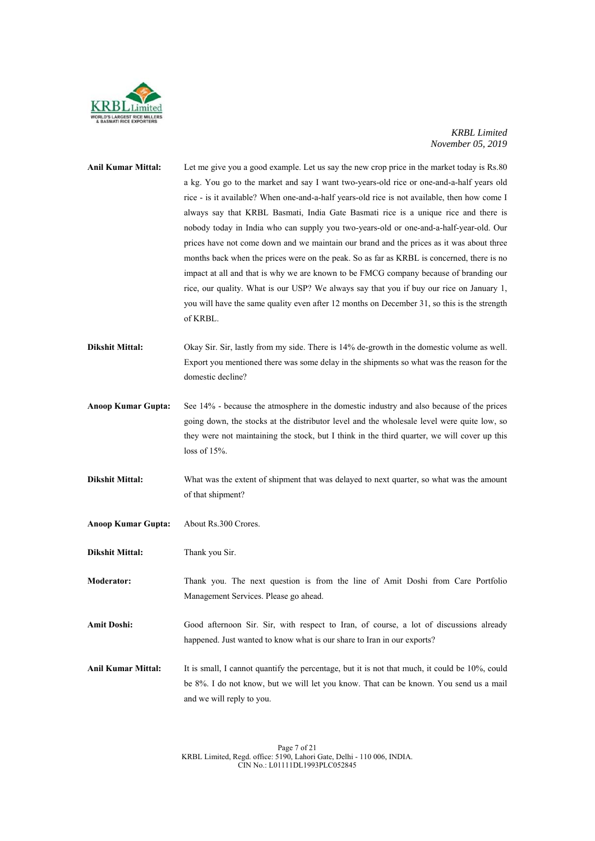

| Anil Kumar Mittal: | Let me give you a good example. Let us say the new crop price in the market today is Rs.80   |
|--------------------|----------------------------------------------------------------------------------------------|
|                    | a kg. You go to the market and say I want two-years-old rice or one-and-a-half years old     |
|                    | rice - is it available? When one-and-a-half years-old rice is not available, then how come I |
|                    | always say that KRBL Basmati, India Gate Basmati rice is a unique rice and there is          |
|                    | nobody today in India who can supply you two-years-old or one-and-a-half-year-old. Our       |
|                    | prices have not come down and we maintain our brand and the prices as it was about three     |
|                    | months back when the prices were on the peak. So as far as KRBL is concerned, there is no    |
|                    | impact at all and that is why we are known to be FMCG company because of branding our        |
|                    | rice, our quality. What is our USP? We always say that you if buy our rice on January 1,     |
|                    | you will have the same quality even after 12 months on December 31, so this is the strength  |
|                    | of KRBL.                                                                                     |
|                    |                                                                                              |
| Dikshit Mittal:    | Okay Sir. Sir, lastly from my side. There is 14% de-growth in the domestic volume as well.   |
|                    |                                                                                              |

Export you mentioned there was some delay in the shipments so what was the reason for the domestic decline?

- **Anoop Kumar Gupta:** See 14% because the atmosphere in the domestic industry and also because of the prices going down, the stocks at the distributor level and the wholesale level were quite low, so they were not maintaining the stock, but I think in the third quarter, we will cover up this loss of 15%.
- **Dikshit Mittal:** What was the extent of shipment that was delayed to next quarter, so what was the amount of that shipment?
- **Anoop Kumar Gupta:** About Rs.300 Crores.
- **Dikshit Mittal:** Thank you Sir.

**Moderator:** Thank you. The next question is from the line of Amit Doshi from Care Portfolio Management Services. Please go ahead.

Amit Doshi: Good afternoon Sir. Sir, with respect to Iran, of course, a lot of discussions already happened. Just wanted to know what is our share to Iran in our exports?

**Anil Kumar Mittal:** It is small, I cannot quantify the percentage, but it is not that much, it could be 10%, could be 8%. I do not know, but we will let you know. That can be known. You send us a mail and we will reply to you.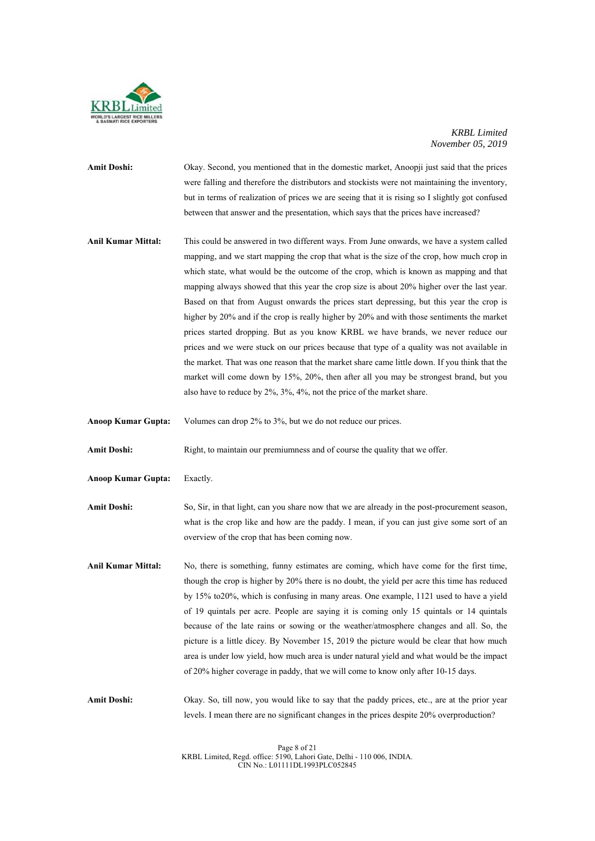

- **Amit Doshi:** Okay. Second, you mentioned that in the domestic market, Anoopji just said that the prices were falling and therefore the distributors and stockists were not maintaining the inventory, but in terms of realization of prices we are seeing that it is rising so I slightly got confused between that answer and the presentation, which says that the prices have increased?
- **Anil Kumar Mittal:** This could be answered in two different ways. From June onwards, we have a system called mapping, and we start mapping the crop that what is the size of the crop, how much crop in which state, what would be the outcome of the crop, which is known as mapping and that mapping always showed that this year the crop size is about 20% higher over the last year. Based on that from August onwards the prices start depressing, but this year the crop is higher by 20% and if the crop is really higher by 20% and with those sentiments the market prices started dropping. But as you know KRBL we have brands, we never reduce our prices and we were stuck on our prices because that type of a quality was not available in the market. That was one reason that the market share came little down. If you think that the market will come down by 15%, 20%, then after all you may be strongest brand, but you also have to reduce by 2%, 3%, 4%, not the price of the market share.
- **Anoop Kumar Gupta:** Volumes can drop 2% to 3%, but we do not reduce our prices.

**Amit Doshi:** Right, to maintain our premiumness and of course the quality that we offer.

- **Anoop Kumar Gupta:** Exactly.
- **Amit Doshi:** So, Sir, in that light, can you share now that we are already in the post-procurement season, what is the crop like and how are the paddy. I mean, if you can just give some sort of an overview of the crop that has been coming now.
- **Anil Kumar Mittal:** No, there is something, funny estimates are coming, which have come for the first time, though the crop is higher by 20% there is no doubt, the yield per acre this time has reduced by 15% to20%, which is confusing in many areas. One example, 1121 used to have a yield of 19 quintals per acre. People are saying it is coming only 15 quintals or 14 quintals because of the late rains or sowing or the weather/atmosphere changes and all. So, the picture is a little dicey. By November 15, 2019 the picture would be clear that how much area is under low yield, how much area is under natural yield and what would be the impact of 20% higher coverage in paddy, that we will come to know only after 10-15 days.

Amit Doshi: Okay. So, till now, you would like to say that the paddy prices, etc., are at the prior year levels. I mean there are no significant changes in the prices despite 20% overproduction?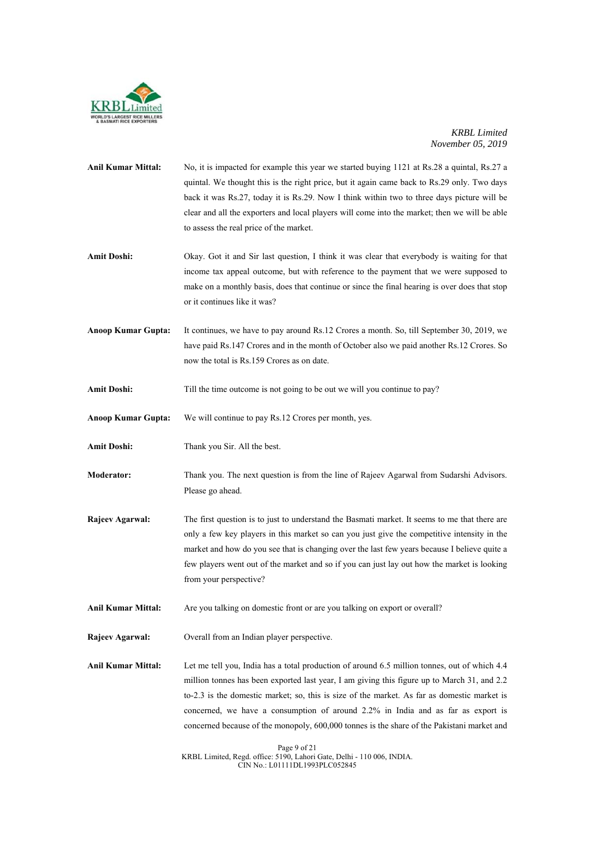

- **Anil Kumar Mittal:** No, it is impacted for example this year we started buying 1121 at Rs.28 a quintal, Rs.27 a quintal. We thought this is the right price, but it again came back to Rs.29 only. Two days back it was Rs.27, today it is Rs.29. Now I think within two to three days picture will be clear and all the exporters and local players will come into the market; then we will be able to assess the real price of the market.
- **Amit Doshi:** Okay. Got it and Sir last question, I think it was clear that everybody is waiting for that income tax appeal outcome, but with reference to the payment that we were supposed to make on a monthly basis, does that continue or since the final hearing is over does that stop or it continues like it was?
- **Anoop Kumar Gupta:** It continues, we have to pay around Rs.12 Crores a month. So, till September 30, 2019, we have paid Rs.147 Crores and in the month of October also we paid another Rs.12 Crores. So now the total is Rs.159 Crores as on date.
- **Amit Doshi:** Till the time outcome is not going to be out we will you continue to pay?

**Anoop Kumar Gupta:** We will continue to pay Rs.12 Crores per month, yes.

- Amit Doshi: Thank you Sir. All the best.
- **Moderator:** Thank you. The next question is from the line of Rajeev Agarwal from Sudarshi Advisors. Please go ahead.
- **Rajeev Agarwal:** The first question is to just to understand the Basmati market. It seems to me that there are only a few key players in this market so can you just give the competitive intensity in the market and how do you see that is changing over the last few years because I believe quite a few players went out of the market and so if you can just lay out how the market is looking from your perspective?
- **Anil Kumar Mittal:** Are you talking on domestic front or are you talking on export or overall?
- **Rajeev Agarwal:** Overall from an Indian player perspective.

**Anil Kumar Mittal:** Let me tell you, India has a total production of around 6.5 million tonnes, out of which 4.4 million tonnes has been exported last year, I am giving this figure up to March 31, and 2.2 to-2.3 is the domestic market; so, this is size of the market. As far as domestic market is concerned, we have a consumption of around 2.2% in India and as far as export is concerned because of the monopoly, 600,000 tonnes is the share of the Pakistani market and

> Page 9 of 21 KRBL Limited, Regd. office: 5190, Lahori Gate, Delhi - 110 006, INDIA. CIN No.: L01111DL1993PLC052845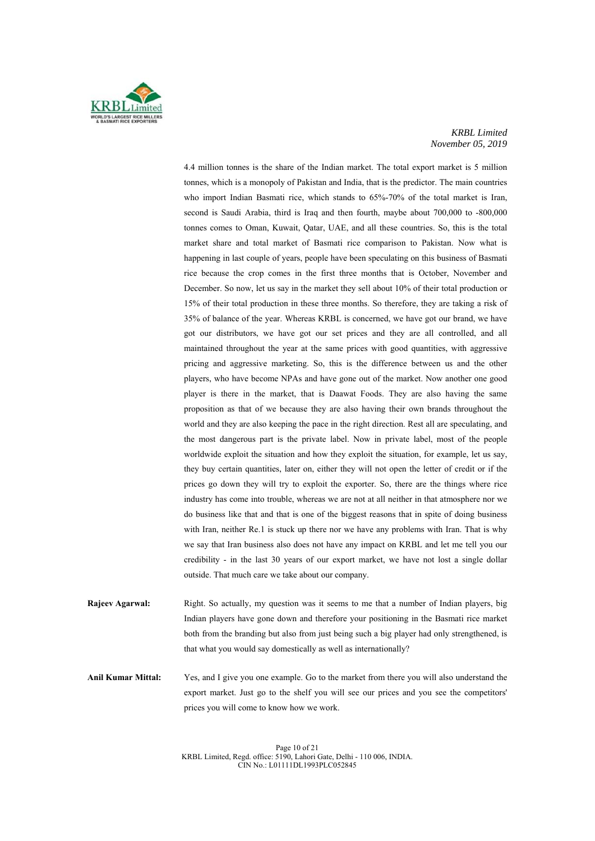

4.4 million tonnes is the share of the Indian market. The total export market is 5 million tonnes, which is a monopoly of Pakistan and India, that is the predictor. The main countries who import Indian Basmati rice, which stands to 65%-70% of the total market is Iran, second is Saudi Arabia, third is Iraq and then fourth, maybe about 700,000 to -800,000 tonnes comes to Oman, Kuwait, Qatar, UAE, and all these countries. So, this is the total market share and total market of Basmati rice comparison to Pakistan. Now what is happening in last couple of years, people have been speculating on this business of Basmati rice because the crop comes in the first three months that is October, November and December. So now, let us say in the market they sell about 10% of their total production or 15% of their total production in these three months. So therefore, they are taking a risk of 35% of balance of the year. Whereas KRBL is concerned, we have got our brand, we have got our distributors, we have got our set prices and they are all controlled, and all maintained throughout the year at the same prices with good quantities, with aggressive pricing and aggressive marketing. So, this is the difference between us and the other players, who have become NPAs and have gone out of the market. Now another one good player is there in the market, that is Daawat Foods. They are also having the same proposition as that of we because they are also having their own brands throughout the world and they are also keeping the pace in the right direction. Rest all are speculating, and the most dangerous part is the private label. Now in private label, most of the people worldwide exploit the situation and how they exploit the situation, for example, let us say, they buy certain quantities, later on, either they will not open the letter of credit or if the prices go down they will try to exploit the exporter. So, there are the things where rice industry has come into trouble, whereas we are not at all neither in that atmosphere nor we do business like that and that is one of the biggest reasons that in spite of doing business with Iran, neither Re.1 is stuck up there nor we have any problems with Iran. That is why we say that Iran business also does not have any impact on KRBL and let me tell you our credibility - in the last 30 years of our export market, we have not lost a single dollar outside. That much care we take about our company.

**Rajeev Agarwal:** Right. So actually, my question was it seems to me that a number of Indian players, big Indian players have gone down and therefore your positioning in the Basmati rice market both from the branding but also from just being such a big player had only strengthened, is that what you would say domestically as well as internationally?

**Anil Kumar Mittal:** Yes, and I give you one example. Go to the market from there you will also understand the export market. Just go to the shelf you will see our prices and you see the competitors' prices you will come to know how we work.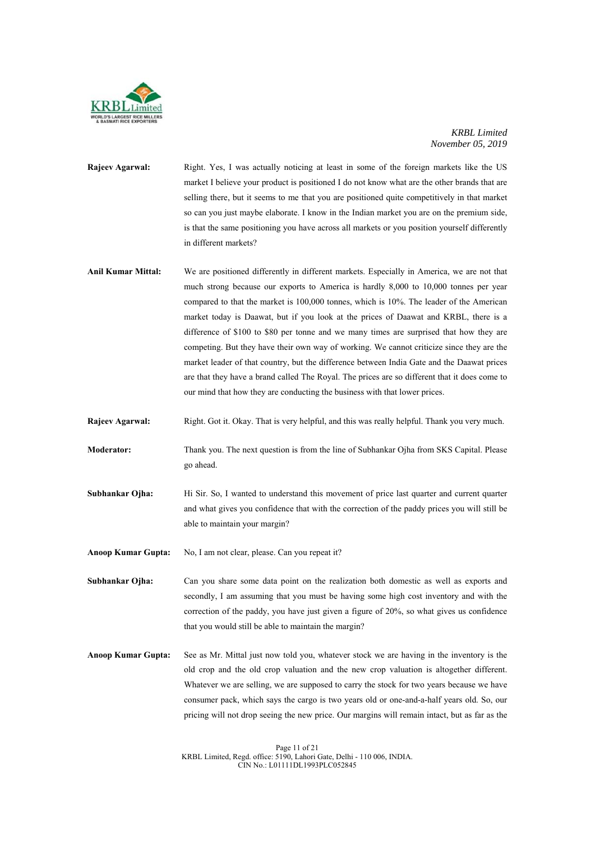

- **Rajeev Agarwal:** Right. Yes, I was actually noticing at least in some of the foreign markets like the US market I believe your product is positioned I do not know what are the other brands that are selling there, but it seems to me that you are positioned quite competitively in that market so can you just maybe elaborate. I know in the Indian market you are on the premium side, is that the same positioning you have across all markets or you position yourself differently in different markets?
- **Anil Kumar Mittal:** We are positioned differently in different markets. Especially in America, we are not that much strong because our exports to America is hardly 8,000 to 10,000 tonnes per year compared to that the market is 100,000 tonnes, which is 10%. The leader of the American market today is Daawat, but if you look at the prices of Daawat and KRBL, there is a difference of \$100 to \$80 per tonne and we many times are surprised that how they are competing. But they have their own way of working. We cannot criticize since they are the market leader of that country, but the difference between India Gate and the Daawat prices are that they have a brand called The Royal. The prices are so different that it does come to our mind that how they are conducting the business with that lower prices.
- **Rajeev Agarwal:** Right. Got it. Okay. That is very helpful, and this was really helpful. Thank you very much.
- **Moderator:** Thank you. The next question is from the line of Subhankar Ojha from SKS Capital. Please go ahead.
- **Subhankar Ojha:** Hi Sir. So, I wanted to understand this movement of price last quarter and current quarter and what gives you confidence that with the correction of the paddy prices you will still be able to maintain your margin?
- Anoop Kumar Gupta: No, I am not clear, please. Can you repeat it?
- **Subhankar Ojha:** Can you share some data point on the realization both domestic as well as exports and secondly, I am assuming that you must be having some high cost inventory and with the correction of the paddy, you have just given a figure of 20%, so what gives us confidence that you would still be able to maintain the margin?
- **Anoop Kumar Gupta:** See as Mr. Mittal just now told you, whatever stock we are having in the inventory is the old crop and the old crop valuation and the new crop valuation is altogether different. Whatever we are selling, we are supposed to carry the stock for two years because we have consumer pack, which says the cargo is two years old or one-and-a-half years old. So, our pricing will not drop seeing the new price. Our margins will remain intact, but as far as the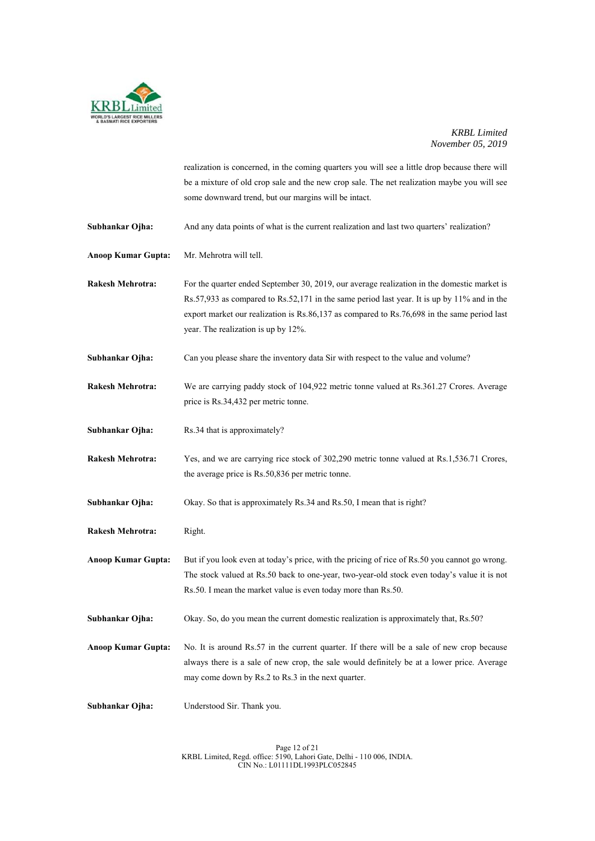

realization is concerned, in the coming quarters you will see a little drop because there will be a mixture of old crop sale and the new crop sale. The net realization maybe you will see some downward trend, but our margins will be intact. **Subhankar Ojha:** And any data points of what is the current realization and last two quarters' realization? **Anoop Kumar Gupta:** Mr. Mehrotra will tell. **Rakesh Mehrotra:** For the quarter ended September 30, 2019, our average realization in the domestic market is Rs.57,933 as compared to Rs.52,171 in the same period last year. It is up by 11% and in the export market our realization is Rs.86,137 as compared to Rs.76,698 in the same period last year. The realization is up by 12%. **Subhankar Ojha:** Can you please share the inventory data Sir with respect to the value and volume? **Rakesh Mehrotra:** We are carrying paddy stock of 104,922 metric tonne valued at Rs.361.27 Crores. Average price is Rs.34,432 per metric tonne. **Subhankar Ojha:** Rs.34 that is approximately? **Rakesh Mehrotra:** Yes, and we are carrying rice stock of 302,290 metric tonne valued at Rs.1,536.71 Crores, the average price is Rs.50,836 per metric tonne. **Subhankar Ojha:** Okay. So that is approximately Rs.34 and Rs.50, I mean that is right? **Rakesh Mehrotra:** Right. **Anoop Kumar Gupta:** But if you look even at today's price, with the pricing of rice of Rs.50 you cannot go wrong. The stock valued at Rs.50 back to one-year, two-year-old stock even today's value it is not Rs.50. I mean the market value is even today more than Rs.50. **Subhankar Ojha:** Okay. So, do you mean the current domestic realization is approximately that, Rs.50? **Anoop Kumar Gupta:** No. It is around Rs.57 in the current quarter. If there will be a sale of new crop because always there is a sale of new crop, the sale would definitely be at a lower price. Average may come down by Rs.2 to Rs.3 in the next quarter. **Subhankar Ojha:** Understood Sir. Thank you.

> Page 12 of 21 KRBL Limited, Regd. office: 5190, Lahori Gate, Delhi - 110 006, INDIA. CIN No.: L01111DL1993PLC052845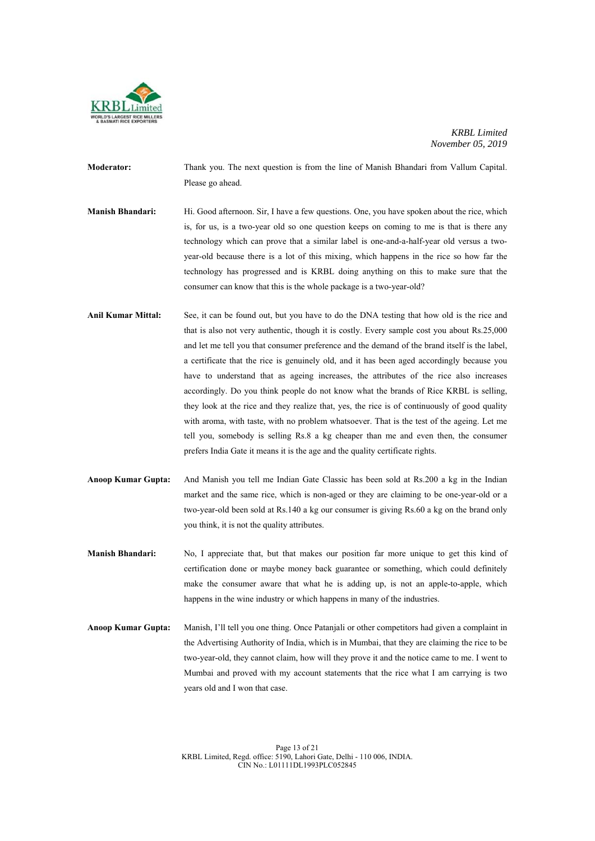

**Moderator:** Thank you. The next question is from the line of Manish Bhandari from Vallum Capital. Please go ahead.

- **Manish Bhandari:** Hi. Good afternoon. Sir, I have a few questions. One, you have spoken about the rice, which is, for us, is a two-year old so one question keeps on coming to me is that is there any technology which can prove that a similar label is one-and-a-half-year old versus a twoyear-old because there is a lot of this mixing, which happens in the rice so how far the technology has progressed and is KRBL doing anything on this to make sure that the consumer can know that this is the whole package is a two-year-old?
- **Anil Kumar Mittal:** See, it can be found out, but you have to do the DNA testing that how old is the rice and that is also not very authentic, though it is costly. Every sample cost you about Rs.25,000 and let me tell you that consumer preference and the demand of the brand itself is the label, a certificate that the rice is genuinely old, and it has been aged accordingly because you have to understand that as ageing increases, the attributes of the rice also increases accordingly. Do you think people do not know what the brands of Rice KRBL is selling, they look at the rice and they realize that, yes, the rice is of continuously of good quality with aroma, with taste, with no problem whatsoever. That is the test of the ageing. Let me tell you, somebody is selling Rs.8 a kg cheaper than me and even then, the consumer prefers India Gate it means it is the age and the quality certificate rights.
- **Anoop Kumar Gupta:** And Manish you tell me Indian Gate Classic has been sold at Rs.200 a kg in the Indian market and the same rice, which is non-aged or they are claiming to be one-year-old or a two-year-old been sold at Rs.140 a kg our consumer is giving Rs.60 a kg on the brand only you think, it is not the quality attributes.
- **Manish Bhandari:** No, I appreciate that, but that makes our position far more unique to get this kind of certification done or maybe money back guarantee or something, which could definitely make the consumer aware that what he is adding up, is not an apple-to-apple, which happens in the wine industry or which happens in many of the industries.
- **Anoop Kumar Gupta:** Manish, I'll tell you one thing. Once Patanjali or other competitors had given a complaint in the Advertising Authority of India, which is in Mumbai, that they are claiming the rice to be two-year-old, they cannot claim, how will they prove it and the notice came to me. I went to Mumbai and proved with my account statements that the rice what I am carrying is two years old and I won that case.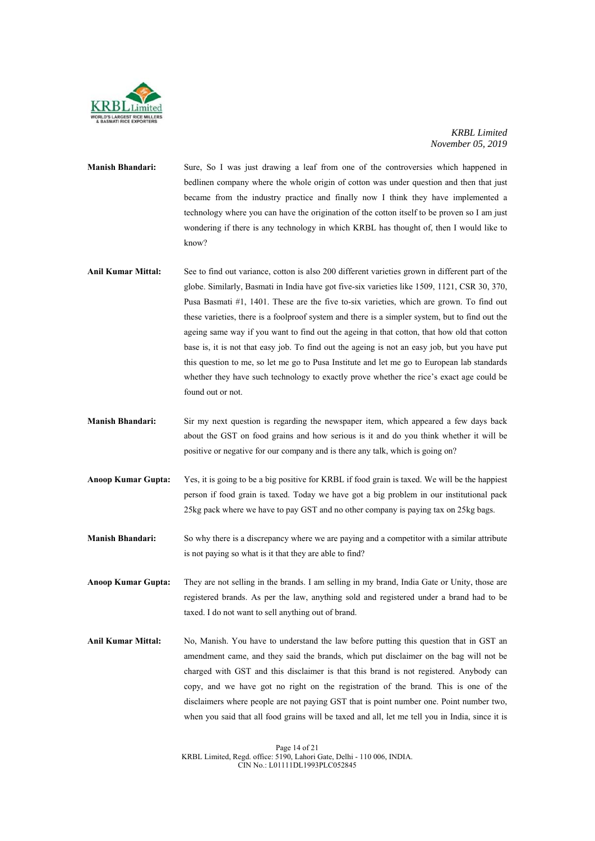

- **Manish Bhandari:** Sure, So I was just drawing a leaf from one of the controversies which happened in bedlinen company where the whole origin of cotton was under question and then that just became from the industry practice and finally now I think they have implemented a technology where you can have the origination of the cotton itself to be proven so I am just wondering if there is any technology in which KRBL has thought of, then I would like to know?
- **Anil Kumar Mittal:** See to find out variance, cotton is also 200 different varieties grown in different part of the globe. Similarly, Basmati in India have got five-six varieties like 1509, 1121, CSR 30, 370, Pusa Basmati #1, 1401. These are the five to-six varieties, which are grown. To find out these varieties, there is a foolproof system and there is a simpler system, but to find out the ageing same way if you want to find out the ageing in that cotton, that how old that cotton base is, it is not that easy job. To find out the ageing is not an easy job, but you have put this question to me, so let me go to Pusa Institute and let me go to European lab standards whether they have such technology to exactly prove whether the rice's exact age could be found out or not.
- **Manish Bhandari:** Sir my next question is regarding the newspaper item, which appeared a few days back about the GST on food grains and how serious is it and do you think whether it will be positive or negative for our company and is there any talk, which is going on?
- **Anoop Kumar Gupta:** Yes, it is going to be a big positive for KRBL if food grain is taxed. We will be the happiest person if food grain is taxed. Today we have got a big problem in our institutional pack 25kg pack where we have to pay GST and no other company is paying tax on 25kg bags.
- **Manish Bhandari:** So why there is a discrepancy where we are paying and a competitor with a similar attribute is not paying so what is it that they are able to find?
- **Anoop Kumar Gupta:** They are not selling in the brands. I am selling in my brand, India Gate or Unity, those are registered brands. As per the law, anything sold and registered under a brand had to be taxed. I do not want to sell anything out of brand.
- **Anil Kumar Mittal:** No, Manish. You have to understand the law before putting this question that in GST an amendment came, and they said the brands, which put disclaimer on the bag will not be charged with GST and this disclaimer is that this brand is not registered. Anybody can copy, and we have got no right on the registration of the brand. This is one of the disclaimers where people are not paying GST that is point number one. Point number two, when you said that all food grains will be taxed and all, let me tell you in India, since it is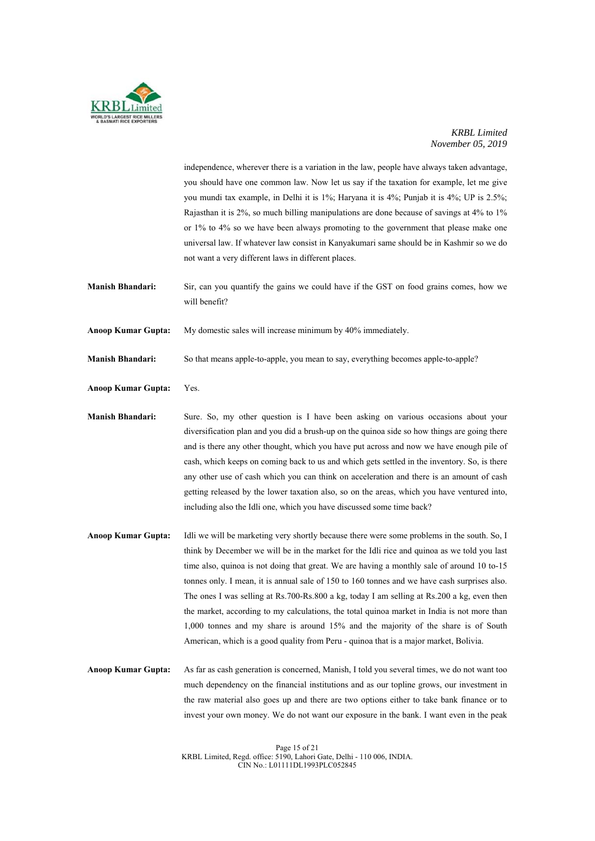

independence, wherever there is a variation in the law, people have always taken advantage, you should have one common law. Now let us say if the taxation for example, let me give you mundi tax example, in Delhi it is 1%; Haryana it is 4%; Punjab it is 4%; UP is 2.5%; Rajasthan it is 2%, so much billing manipulations are done because of savings at 4% to 1% or 1% to 4% so we have been always promoting to the government that please make one universal law. If whatever law consist in Kanyakumari same should be in Kashmir so we do not want a very different laws in different places.

**Manish Bhandari:** Sir, can you quantify the gains we could have if the GST on food grains comes, how we will benefit?

**Anoop Kumar Gupta:** My domestic sales will increase minimum by 40% immediately.

**Manish Bhandari:** So that means apple-to-apple, you mean to say, everything becomes apple-to-apple?

**Anoop Kumar Gupta:** Yes.

**Manish Bhandari:** Sure. So, my other question is I have been asking on various occasions about your diversification plan and you did a brush-up on the quinoa side so how things are going there and is there any other thought, which you have put across and now we have enough pile of cash, which keeps on coming back to us and which gets settled in the inventory. So, is there any other use of cash which you can think on acceleration and there is an amount of cash getting released by the lower taxation also, so on the areas, which you have ventured into, including also the Idli one, which you have discussed some time back?

- **Anoop Kumar Gupta:** Idli we will be marketing very shortly because there were some problems in the south. So, I think by December we will be in the market for the Idli rice and quinoa as we told you last time also, quinoa is not doing that great. We are having a monthly sale of around 10 to-15 tonnes only. I mean, it is annual sale of 150 to 160 tonnes and we have cash surprises also. The ones I was selling at Rs.700-Rs.800 a kg, today I am selling at Rs.200 a kg, even then the market, according to my calculations, the total quinoa market in India is not more than 1,000 tonnes and my share is around 15% and the majority of the share is of South American, which is a good quality from Peru - quinoa that is a major market, Bolivia.
- **Anoop Kumar Gupta:** As far as cash generation is concerned, Manish, I told you several times, we do not want too much dependency on the financial institutions and as our topline grows, our investment in the raw material also goes up and there are two options either to take bank finance or to invest your own money. We do not want our exposure in the bank. I want even in the peak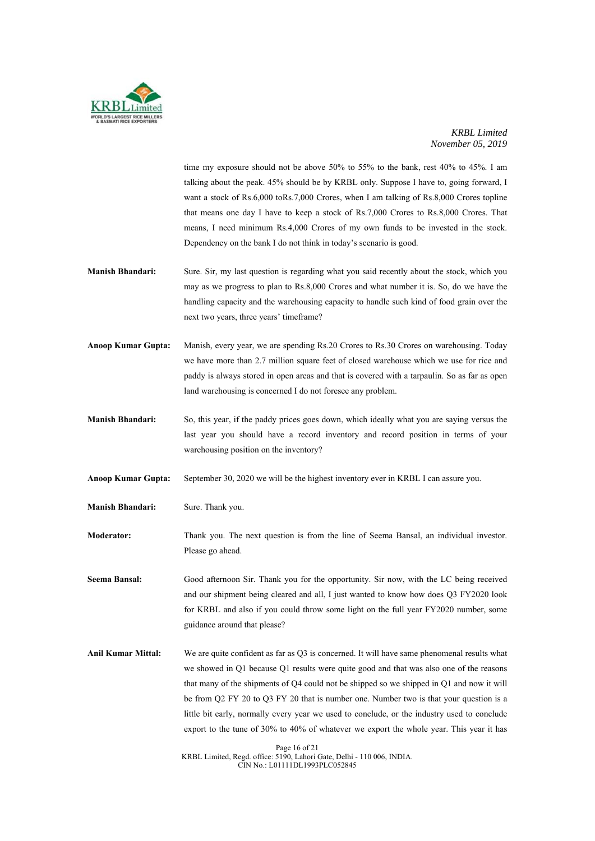

time my exposure should not be above 50% to 55% to the bank, rest 40% to 45%. I am talking about the peak. 45% should be by KRBL only. Suppose I have to, going forward, I want a stock of Rs.6,000 toRs.7,000 Crores, when I am talking of Rs.8,000 Crores topline that means one day I have to keep a stock of Rs.7,000 Crores to Rs.8,000 Crores. That means, I need minimum Rs.4,000 Crores of my own funds to be invested in the stock. Dependency on the bank I do not think in today's scenario is good.

- **Manish Bhandari:** Sure. Sir, my last question is regarding what you said recently about the stock, which you may as we progress to plan to Rs.8,000 Crores and what number it is. So, do we have the handling capacity and the warehousing capacity to handle such kind of food grain over the next two years, three years' timeframe?
- **Anoop Kumar Gupta:** Manish, every year, we are spending Rs.20 Crores to Rs.30 Crores on warehousing. Today we have more than 2.7 million square feet of closed warehouse which we use for rice and paddy is always stored in open areas and that is covered with a tarpaulin. So as far as open land warehousing is concerned I do not foresee any problem.
- **Manish Bhandari:** So, this year, if the paddy prices goes down, which ideally what you are saying versus the last year you should have a record inventory and record position in terms of your warehousing position on the inventory?
- **Anoop Kumar Gupta:** September 30, 2020 we will be the highest inventory ever in KRBL I can assure you.
- **Manish Bhandari:** Sure. Thank you.

**Moderator:** Thank you. The next question is from the line of Seema Bansal, an individual investor. Please go ahead.

**Seema Bansal:** Good afternoon Sir. Thank you for the opportunity. Sir now, with the LC being received and our shipment being cleared and all, I just wanted to know how does Q3 FY2020 look for KRBL and also if you could throw some light on the full year FY2020 number, some guidance around that please?

**Anil Kumar Mittal:** We are quite confident as far as Q3 is concerned. It will have same phenomenal results what we showed in Q1 because Q1 results were quite good and that was also one of the reasons that many of the shipments of Q4 could not be shipped so we shipped in Q1 and now it will be from Q2 FY 20 to Q3 FY 20 that is number one. Number two is that your question is a little bit early, normally every year we used to conclude, or the industry used to conclude export to the tune of 30% to 40% of whatever we export the whole year. This year it has

> Page 16 of 21 KRBL Limited, Regd. office: 5190, Lahori Gate, Delhi - 110 006, INDIA. CIN No.: L01111DL1993PLC052845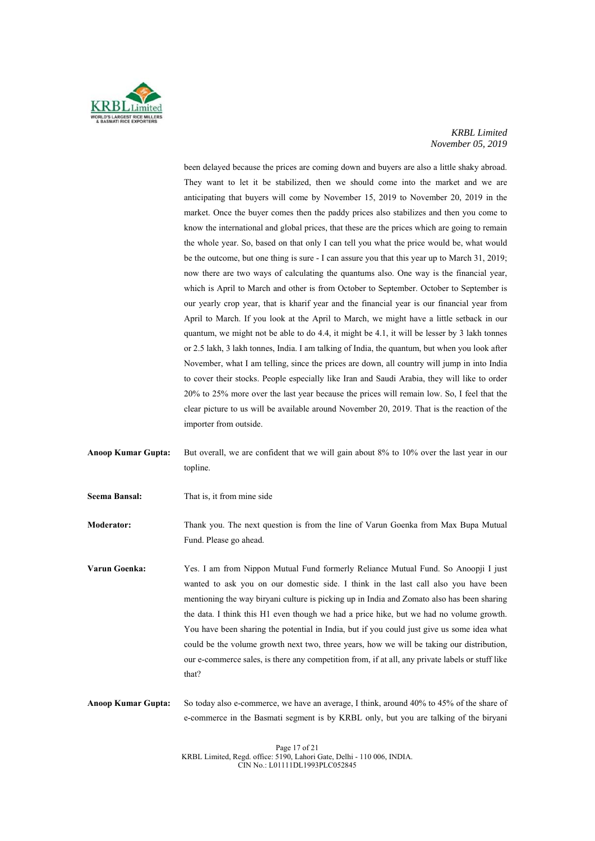

been delayed because the prices are coming down and buyers are also a little shaky abroad. They want to let it be stabilized, then we should come into the market and we are anticipating that buyers will come by November 15, 2019 to November 20, 2019 in the market. Once the buyer comes then the paddy prices also stabilizes and then you come to know the international and global prices, that these are the prices which are going to remain the whole year. So, based on that only I can tell you what the price would be, what would be the outcome, but one thing is sure - I can assure you that this year up to March 31, 2019; now there are two ways of calculating the quantums also. One way is the financial year, which is April to March and other is from October to September. October to September is our yearly crop year, that is kharif year and the financial year is our financial year from April to March. If you look at the April to March, we might have a little setback in our quantum, we might not be able to do 4.4, it might be 4.1, it will be lesser by 3 lakh tonnes or 2.5 lakh, 3 lakh tonnes, India. I am talking of India, the quantum, but when you look after November, what I am telling, since the prices are down, all country will jump in into India to cover their stocks. People especially like Iran and Saudi Arabia, they will like to order 20% to 25% more over the last year because the prices will remain low. So, I feel that the clear picture to us will be available around November 20, 2019. That is the reaction of the importer from outside.

- **Anoop Kumar Gupta:** But overall, we are confident that we will gain about 8% to 10% over the last year in our topline.
- **Seema Bansal:** That is, it from mine side

**Moderator:** Thank you. The next question is from the line of Varun Goenka from Max Bupa Mutual Fund. Please go ahead.

**Varun Goenka:** Yes. I am from Nippon Mutual Fund formerly Reliance Mutual Fund. So Anoopji I just wanted to ask you on our domestic side. I think in the last call also you have been mentioning the way biryani culture is picking up in India and Zomato also has been sharing the data. I think this H1 even though we had a price hike, but we had no volume growth. You have been sharing the potential in India, but if you could just give us some idea what could be the volume growth next two, three years, how we will be taking our distribution, our e-commerce sales, is there any competition from, if at all, any private labels or stuff like that?

**Anoop Kumar Gupta:** So today also e-commerce, we have an average, I think, around 40% to 45% of the share of e-commerce in the Basmati segment is by KRBL only, but you are talking of the biryani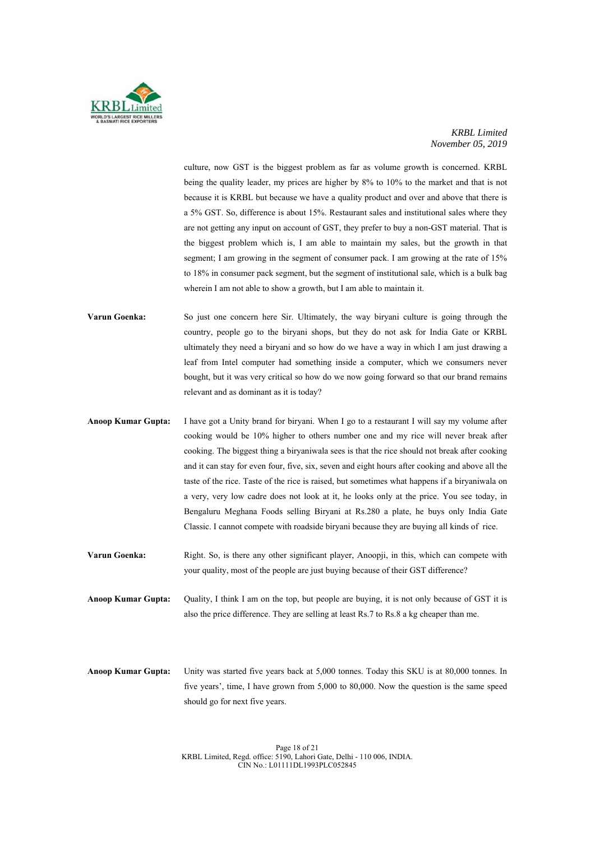

culture, now GST is the biggest problem as far as volume growth is concerned. KRBL being the quality leader, my prices are higher by 8% to 10% to the market and that is not because it is KRBL but because we have a quality product and over and above that there is a 5% GST. So, difference is about 15%. Restaurant sales and institutional sales where they are not getting any input on account of GST, they prefer to buy a non-GST material. That is the biggest problem which is, I am able to maintain my sales, but the growth in that segment; I am growing in the segment of consumer pack. I am growing at the rate of 15% to 18% in consumer pack segment, but the segment of institutional sale, which is a bulk bag wherein I am not able to show a growth, but I am able to maintain it.

- **Varun Goenka:** So just one concern here Sir. Ultimately, the way biryani culture is going through the country, people go to the biryani shops, but they do not ask for India Gate or KRBL ultimately they need a biryani and so how do we have a way in which I am just drawing a leaf from Intel computer had something inside a computer, which we consumers never bought, but it was very critical so how do we now going forward so that our brand remains relevant and as dominant as it is today?
- **Anoop Kumar Gupta:** I have got a Unity brand for biryani. When I go to a restaurant I will say my volume after cooking would be 10% higher to others number one and my rice will never break after cooking. The biggest thing a biryaniwala sees is that the rice should not break after cooking and it can stay for even four, five, six, seven and eight hours after cooking and above all the taste of the rice. Taste of the rice is raised, but sometimes what happens if a biryaniwala on a very, very low cadre does not look at it, he looks only at the price. You see today, in Bengaluru Meghana Foods selling Biryani at Rs.280 a plate, he buys only India Gate Classic. I cannot compete with roadside biryani because they are buying all kinds of rice.
- **Varun Goenka:** Right. So, is there any other significant player. Anoopii, in this, which can compete with your quality, most of the people are just buying because of their GST difference?

**Anoop Kumar Gupta:** Quality, I think I am on the top, but people are buying, it is not only because of GST it is also the price difference. They are selling at least Rs.7 to Rs.8 a kg cheaper than me.

**Anoop Kumar Gupta:** Unity was started five years back at 5,000 tonnes. Today this SKU is at 80,000 tonnes. In five years', time, I have grown from 5,000 to 80,000. Now the question is the same speed should go for next five years.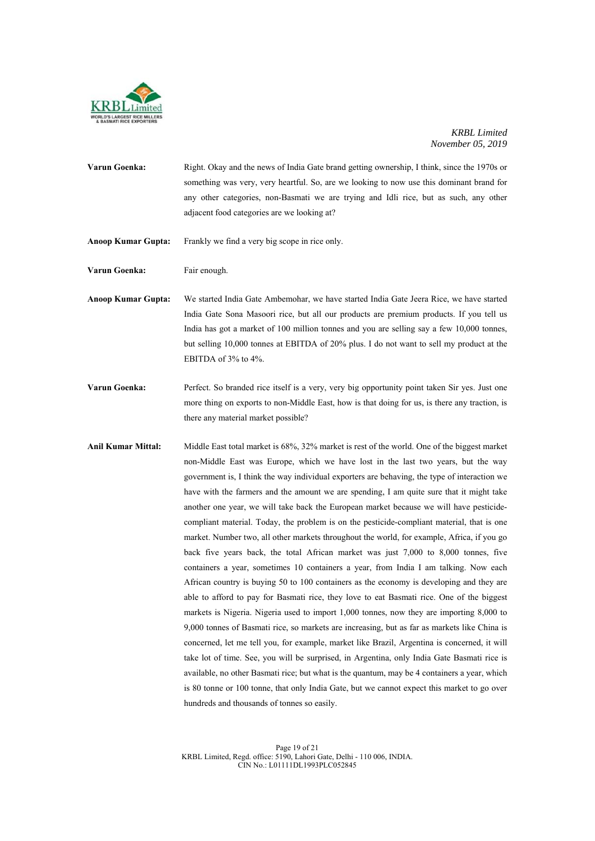

- **Varun Goenka:** Right. Okay and the news of India Gate brand getting ownership, I think, since the 1970s or something was very, very heartful. So, are we looking to now use this dominant brand for any other categories, non-Basmati we are trying and Idli rice, but as such, any other adjacent food categories are we looking at?
- **Anoop Kumar Gupta:** Frankly we find a very big scope in rice only.

Varun Goenka: Fair enough.

- **Anoop Kumar Gupta:** We started India Gate Ambemohar, we have started India Gate Jeera Rice, we have started India Gate Sona Masoori rice, but all our products are premium products. If you tell us India has got a market of 100 million tonnes and you are selling say a few 10,000 tonnes, but selling 10,000 tonnes at EBITDA of 20% plus. I do not want to sell my product at the EBITDA of 3% to 4%.
- **Varun Goenka:** Perfect. So branded rice itself is a very, very big opportunity point taken Sir yes. Just one more thing on exports to non-Middle East, how is that doing for us, is there any traction, is there any material market possible?
- **Anil Kumar Mittal:** Middle East total market is 68%, 32% market is rest of the world. One of the biggest market non-Middle East was Europe, which we have lost in the last two years, but the way government is, I think the way individual exporters are behaving, the type of interaction we have with the farmers and the amount we are spending, I am quite sure that it might take another one year, we will take back the European market because we will have pesticidecompliant material. Today, the problem is on the pesticide-compliant material, that is one market. Number two, all other markets throughout the world, for example, Africa, if you go back five years back, the total African market was just 7,000 to 8,000 tonnes, five containers a year, sometimes 10 containers a year, from India I am talking. Now each African country is buying 50 to 100 containers as the economy is developing and they are able to afford to pay for Basmati rice, they love to eat Basmati rice. One of the biggest markets is Nigeria. Nigeria used to import 1,000 tonnes, now they are importing 8,000 to 9,000 tonnes of Basmati rice, so markets are increasing, but as far as markets like China is concerned, let me tell you, for example, market like Brazil, Argentina is concerned, it will take lot of time. See, you will be surprised, in Argentina, only India Gate Basmati rice is available, no other Basmati rice; but what is the quantum, may be 4 containers a year, which is 80 tonne or 100 tonne, that only India Gate, but we cannot expect this market to go over hundreds and thousands of tonnes so easily.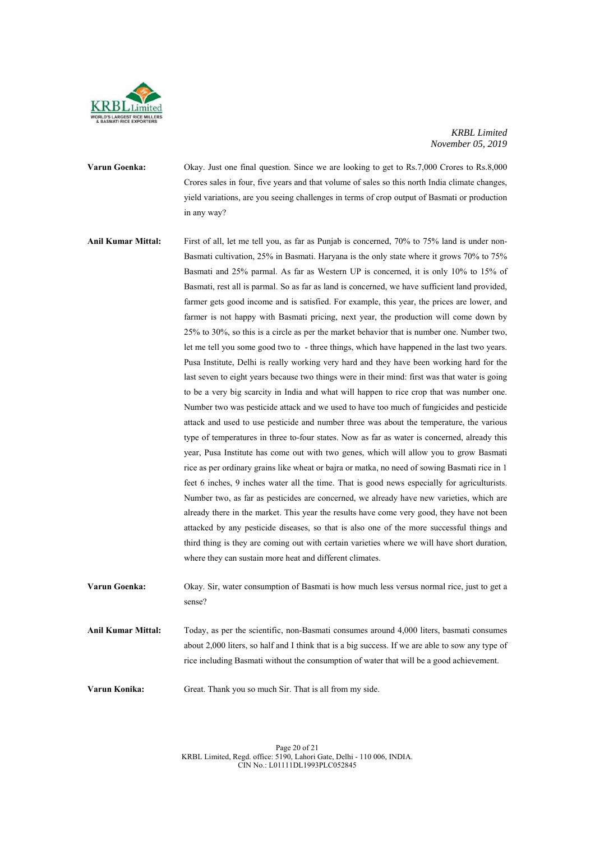

- **Varun Goenka:** Okay. Just one final question. Since we are looking to get to Rs.7,000 Crores to Rs.8,000 Crores sales in four, five years and that volume of sales so this north India climate changes, yield variations, are you seeing challenges in terms of crop output of Basmati or production in any way?
- **Anil Kumar Mittal:** First of all, let me tell you, as far as Punjab is concerned, 70% to 75% land is under non-Basmati cultivation, 25% in Basmati. Haryana is the only state where it grows 70% to 75% Basmati and 25% parmal. As far as Western UP is concerned, it is only 10% to 15% of Basmati, rest all is parmal. So as far as land is concerned, we have sufficient land provided, farmer gets good income and is satisfied. For example, this year, the prices are lower, and farmer is not happy with Basmati pricing, next year, the production will come down by 25% to 30%, so this is a circle as per the market behavior that is number one. Number two, let me tell you some good two to - three things, which have happened in the last two years. Pusa Institute, Delhi is really working very hard and they have been working hard for the last seven to eight years because two things were in their mind: first was that water is going to be a very big scarcity in India and what will happen to rice crop that was number one. Number two was pesticide attack and we used to have too much of fungicides and pesticide attack and used to use pesticide and number three was about the temperature, the various type of temperatures in three to-four states. Now as far as water is concerned, already this year, Pusa Institute has come out with two genes, which will allow you to grow Basmati rice as per ordinary grains like wheat or bajra or matka, no need of sowing Basmati rice in 1 feet 6 inches, 9 inches water all the time. That is good news especially for agriculturists. Number two, as far as pesticides are concerned, we already have new varieties, which are already there in the market. This year the results have come very good, they have not been attacked by any pesticide diseases, so that is also one of the more successful things and third thing is they are coming out with certain varieties where we will have short duration, where they can sustain more heat and different climates.
- **Varun Goenka:** Okay. Sir, water consumption of Basmati is how much less versus normal rice, just to get a sense?
- **Anil Kumar Mittal:** Today, as per the scientific, non-Basmati consumes around 4,000 liters, basmati consumes about 2,000 liters, so half and I think that is a big success. If we are able to sow any type of rice including Basmati without the consumption of water that will be a good achievement.
- **Varun Konika:** Great. Thank you so much Sir. That is all from my side.